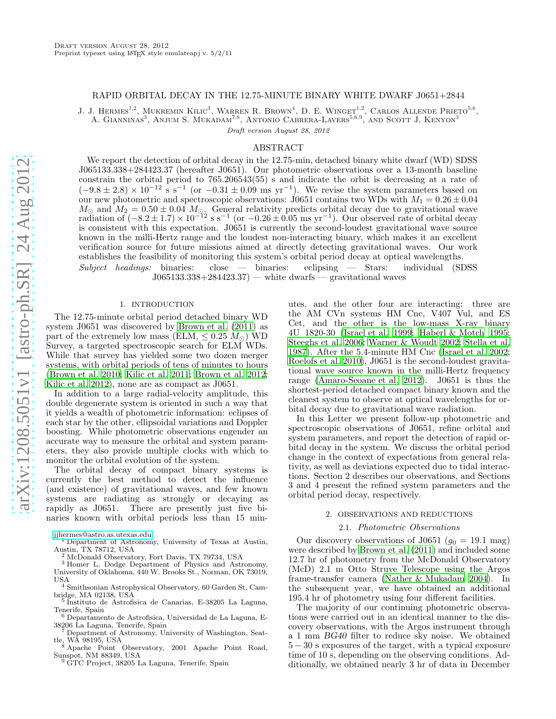# RAPID ORBITAL DECAY IN THE 12.75-MINUTE BINARY WHITE DWARF J0651+2844

J. J. HERMES<sup>1,2</sup>, MUKREMIN KILIC<sup>3</sup>, WARREN R. BROWN<sup>4</sup>, D. E. WINGET<sup>1,2</sup>, CARLOS ALLENDE PRIETO<sup>5,6</sup>, A. GIANNINAS<sup>3</sup>, ANJUM S. MUKADAM<sup>7,8</sup>, ANTONIO CABRERA-LAVERS<sup>5,6,9</sup>, AND SCOTT J. KENYON<sup>3</sup>

Draft version August 28, 2012

## ABSTRACT

We report the detection of orbital decay in the 12.75-min, detached binary white dwarf (WD) SDSS J065133.338+284423.37 (hereafter J0651). Our photometric observations over a 13-month baseline constrain the orbital period to 765.206543(55) s and indicate the orbit is decreasing at a rate of  $(-9.8 \pm 2.8) \times 10^{-12}$  s s<sup>-1</sup> (or  $-0.31 \pm 0.09$  ms yr<sup>-1</sup>). We revise the system parameters based on our new photometric and spectroscopic observations:  $\frac{1}{10651}$  contains two WDs with  $M_1 = 0.26 \pm 0.04$  $M_{\odot}$  and  $M_2 = 0.50 \pm 0.04$   $M_{\odot}$ . General relativity predicts orbital decay due to gravitational wave radiation of  $(-8.2 \pm 1.7) \times 10^{-12}$  s s<sup>-1</sup> (or  $-0.26 \pm 0.05$  ms yr<sup>-1</sup>). Our observed rate of orbital decay is consistent with this expectation. J0651 is currently the second-loudest gravitational wave source known in the milli-Hertz range and the loudest non-interacting binary, which makes it an excellent verification source for future missions aimed at directly detecting gravitational waves. Our work establishes the feasibility of monitoring this system's orbital period decay at optical wavelengths. Subject headings: binaries: close — binaries: eclipsing — Stars: individual (SDSS  $J065133.338+284423.37$  — white dwarfs — gravitational waves

# 1. INTRODUCTION

The 12.75-minute orbital period detached binary WD system J0651 was discovered by [Brown et al. \(2011\)](#page-5-0) as part of the extremely low mass (ELM,  $\leq 0.25$   $M_{\odot}$ ) WD Survey, a targeted spectroscopic search for ELM WDs. While that survey has yielded some two dozen merger systems, with orbital periods of tens of minutes to hours [\(Brown et al. 2010](#page-5-1); [Kilic et al. 2011;](#page-5-2) [Brown et al. 2012;](#page-5-3) [Kilic et al. 2012\)](#page-5-4), none are as compact as J0651.

In addition to a large radial-velocity amplitude, this double degenerate system is oriented in such a way that it yields a wealth of photometric information: eclipses of each star by the other, ellipsoidal variations and Doppler boosting. While photometric observations engender an accurate way to measure the orbital and system parameters, they also provide multiple clocks with which to monitor the orbital evolution of the system.

The orbital decay of compact binary systems is currently the best method to detect the influence (and existence) of gravitational waves, and few known systems are radiating as strongly or decaying as rapidly as J0651. There are presently just five binaries known with orbital periods less than 15 min-

- <sup>1</sup> Department of Astronomy, University of Texas at Austin, Austin, TX 78712, USA
	- <sup>2</sup> McDonald Observatory, Fort Davis, TX 79734, USA
- <sup>3</sup> Homer L. Dodge Department of Physics and Astronomy, University of Oklahoma, 440 W. Brooks St., Norman, OK 73019,
- USA <sup>4</sup> Smithsonian Astrophysical Observatory, 60 Garden St, Cambridge, MA 02138, USA
- 5 Instituto de Astrofisica de Canarias, E-38205 La Laguna, Tenerife, Spain
- <sup>6</sup> Departamento de Astrofisica, Universidad de La Laguna, E-38206 La Laguna, Tenerife, Spain
- Department of Astronomy, University of Washington, Seattle, WA 98195, USA
- <sup>8</sup> Apache Point Observatory, 2001 Apache Point Road, Sunspot, NM 88349, USA <sup>9</sup> GTC Project, 38205 La Laguna, Tenerife, Spain
- 

utes, and the other four are interacting: three are the AM CVn systems HM Cnc, V407 Vul, and ES Cet, and the other is the low-mass X-ray binary 4U 1820-30 [\(Israel et al. 1999;](#page-5-5) [Haberl & Motch 1995](#page-5-6); [Steeghs et al. 2006;](#page-5-7) [Warner & Woudt 2002;](#page-5-8) [Stella et al.](#page-5-9) [1987\)](#page-5-9). After the 5.4-minute HM Cnc [\(Israel et al. 2002](#page-5-10); [Roelofs et al. 2010\)](#page-5-11), J0651 is the second-loudest gravitational wave source known in the milli-Hertz frequency range [\(Amaro-Seoane et al. 2012\)](#page-5-12). J0651 is thus the shortest-period detached compact binary known and the cleanest system to observe at optical wavelengths for orbital decay due to gravitational wave radiation.

In this Letter we present follow-up photometric and spectroscopic observations of J0651, refine orbital and system parameters, and report the detection of rapid orbital decay in the system. We discuss the orbital period change in the context of expectations from general relativity, as well as deviations expected due to tidal interactions. Section 2 describes our observations, and Sections 3 and 4 present the refined system parameters and the orbital period decay, respectively.

## 2. OBSERVATIONS AND REDUCTIONS

## 2.1. Photometric Observations

Our discovery observations of J0651 ( $g_0 = 19.1$  mag) were described by [Brown et al. \(2011\)](#page-5-0) and included some 12.7 hr of photometry from the McDonald Observatory (McD) 2.1 m Otto Struve Telescope using the Argos frame-transfer camera [\(Nather & Mukadam 2004\)](#page-5-13). In the subsequent year, we have obtained an additional 195.4 hr of photometry using four different facilities.

The majority of our continuing photometric observations were carried out in an identical manner to the discovery observations, with the Argos instrument through a 1 mm BG40 filter to reduce sky noise. We obtained 5 − 30 s exposures of the target, with a typical exposure time of 10 s, depending on the observing conditions. Additionally, we obtained nearly 3 hr of data in December

[jjhermes@astro.as.utexas.edu](mailto:jjhermes@astro.as.utexas.edu)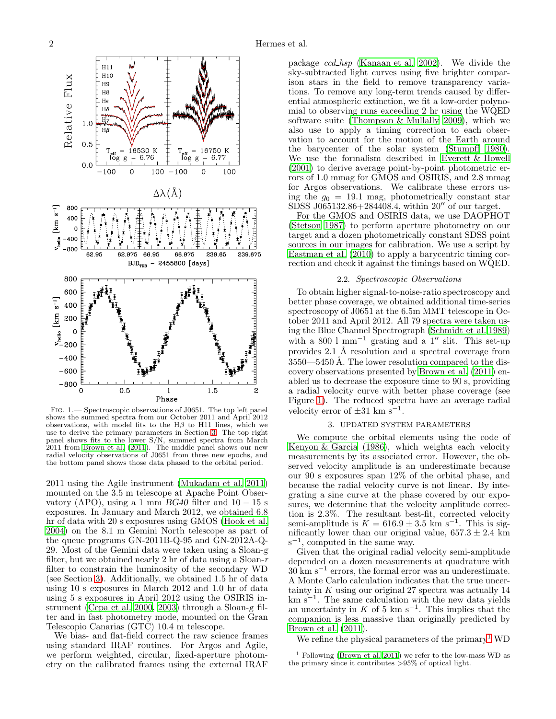

<span id="page-1-1"></span>Fig. 1.— Spectroscopic observations of J0651. The top left panel shows the summed spectra from our October 2011 and April 2012 observations, with model fits to the  $H\beta$  to H11 lines, which we use to derive the primary parameters in Section [3.](#page-1-0) The top right panel shows fits to the lower S/N, summed spectra from March 2011 from [Brown et al. \(2011](#page-5-0)). The middle panel shows our new radial velocity observations of J0651 from three new epochs, and the bottom panel shows those data phased to the orbital period.

2011 using the Agile instrument [\(Mukadam et al. 2011](#page-5-14)) mounted on the 3.5 m telescope at Apache Point Observatory (APO), using a 1 mm  $BG40$  filter and  $10-15$  s exposures. In January and March 2012, we obtained 6.8 hr of data with 20 s exposures using GMOS [\(Hook et al.](#page-5-15) [2004\)](#page-5-15) on the 8.1 m Gemini North telescope as part of the queue programs GN-2011B-Q-95 and GN-2012A-Q-29. Most of the Gemini data were taken using a Sloan-g filter, but we obtained nearly 2 hr of data using a Sloan-r filter to constrain the luminosity of the secondary WD (see Section [3\)](#page-1-0). Additionally, we obtained 1.5 hr of data using 10 s exposures in March 2012 and 1.0 hr of data using 5 s exposures in April 2012 using the OSIRIS instrument [\(Cepa et al. 2000,](#page-5-16) [2003\)](#page-5-17) through a Sloan-g filter and in fast photometry mode, mounted on the Gran Telescopio Canarias (GTC) 10.4 m telescope.

We bias- and flat-field correct the raw science frames using standard IRAF routines. For Argos and Agile, we perform weighted, circular, fixed-aperture photometry on the calibrated frames using the external IRAF

package ccd hsp [\(Kanaan et al. 2002](#page-5-18)). We divide the sky-subtracted light curves using five brighter comparison stars in the field to remove transparency variations. To remove any long-term trends caused by differential atmospheric extinction, we fit a low-order polynomial to observing runs exceeding 2 hr using the WQED software suite [\(Thompson & Mullally 2009\)](#page-5-19), which we also use to apply a timing correction to each observation to account for the motion of the Earth around the barycenter of the solar system [\(Stumpff 1980](#page-5-20)). We use the formalism described in [Everett & Howell](#page-5-21) [\(2001\)](#page-5-21) to derive average point-by-point photometric errors of 1.0 mmag for GMOS and OSIRIS, and 2.8 mmag for Argos observations. We calibrate these errors using the  $g_0 = 19.1$  mag, photometrically constant star SDSS J065132.86+284408.4, within 20′′ of our target.

For the GMOS and OSIRIS data, we use DAOPHOT [\(Stetson 1987\)](#page-5-22) to perform aperture photometry on our target and a dozen photometrically constant SDSS point sources in our images for calibration. We use a script by [Eastman et al. \(2010](#page-5-23)) to apply a barycentric timing correction and check it against the timings based on WQED.

## 2.2. Spectroscopic Observations

To obtain higher signal-to-noise-ratio spectroscopy and better phase coverage, we obtained additional time-series spectroscopy of J0651 at the 6.5m MMT telescope in October 2011 and April 2012. All 79 spectra were taken using the Blue Channel Spectrograph [\(Schmidt et al. 1989](#page-5-24)) with a 800  $1 \text{ mm}^{-1}$  grating and a  $1''$  slit. This set-up provides 2.1 Å resolution and a spectral coverage from  $3550 - 5450$  Å. The lower resolution compared to the discovery observations presented by [Brown et al. \(2011](#page-5-0)) enabled us to decrease the exposure time to 90 s, providing a radial velocity curve with better phase coverage (see Figure [1\)](#page-1-1). The reduced spectra have an average radial velocity error of  $\pm 31$  km s<sup>-1</sup>.

# 3. UPDATED SYSTEM PARAMETERS

<span id="page-1-0"></span>We compute the orbital elements using the code of [Kenyon & Garcia \(1986\)](#page-5-25), which weights each velocity measurements by its associated error. However, the observed velocity amplitude is an underestimate because our 90 s exposures span 12% of the orbital phase, and because the radial velocity curve is not linear. By integrating a sine curve at the phase covered by our exposures, we determine that the velocity amplitude correction is 2.3%. The resultant best-fit, corrected velocity semi-amplitude is  $K = 616.9 \pm 3.5$  km s<sup>-1</sup>. This is sig-<br>... nificantly lower than our original value,  $657.3 \pm 2.4$  km  $s^{-1}$ , computed in the same way.

Given that the original radial velocity semi-amplitude depended on a dozen measurements at quadrature with 30 km s<sup>−</sup><sup>1</sup> errors, the formal error was an underestimate. A Monte Carlo calculation indicates that the true uncertainty in  $K$  using our original 27 spectra was actually 14 km s<sup>−</sup><sup>1</sup> . The same calculation with the new data yields an uncertainty in K of 5 km s<sup>-1</sup>. This implies that the companion is less massive than originally predicted by [Brown et al. \(2011\)](#page-5-0).

We refine the physical parameters of the primary<sup>1</sup> WD

<sup>1</sup> Following [\(Brown et al. 2011](#page-5-0)) we refer to the low-mass WD as the primary since it contributes >95% of optical light.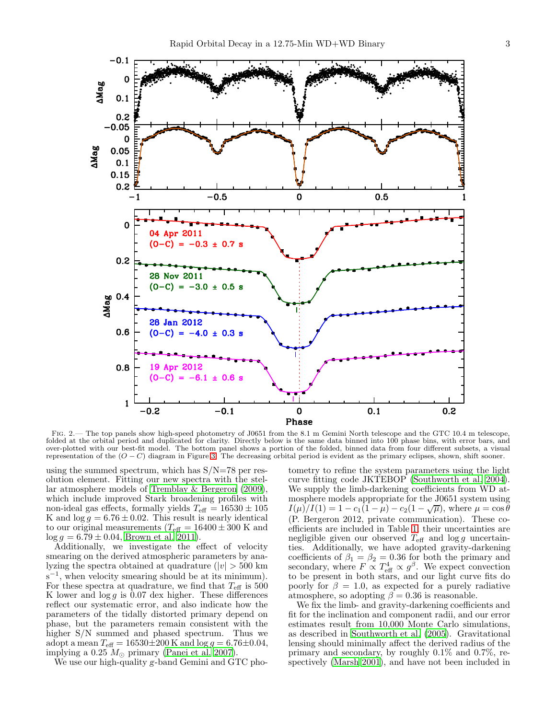

FIG. 2.— The top panels show high-speed photometry of J0651 from the 8.1 m Gemini North telescope and the GTC 10.4 m telescope, folded at the orbital period and duplicated for clarity. Directly below is the same data binned into 100 phase bins, with error bars, and over-plotted with our best-fit model. The bottom panel shows a portion of the folded, binned data from four different subsets, a visual representation of the  $(O - C)$  diagram in Figure [3.](#page-4-0) The decreasing orbital period is evident as the primary eclipses, shown, shift sooner.

using the summed spectrum, which has  $S/N=78$  per resolution element. Fitting our new spectra with the stellar atmosphere models of [Tremblay & Bergeron \(2009\)](#page-5-26), which include improved Stark broadening profiles with non-ideal gas effects, formally yields  $T_{\text{eff}} = 16530 \pm 105$ K and  $\log g = 6.76 \pm 0.02$ . This result is nearly identical to our original measurements ( $T_{\text{eff}} = 16400 \pm 300$  K and  $\log g = 6.79 \pm 0.04$ , [Brown et al. 2011](#page-5-0)).

Additionally, we investigate the effect of velocity smearing on the derived atmospheric parameters by analyzing the spectra obtained at quadrature ( $|v| > 500$  km  $s^{-1}$ , when velocity smearing should be at its minimum). For these spectra at quadrature, we find that  $T_{\text{eff}}$  is 500 K lower and  $\log g$  is 0.07 dex higher. These differences reflect our systematic error, and also indicate how the parameters of the tidally distorted primary depend on phase, but the parameters remain consistent with the higher S/N summed and phased spectrum. Thus we adopt a mean  $T_{\text{eff}} = 16530 \pm 200 \,\text{K}$  and  $\log g = 6.76 \pm 0.04$ , implying a 0.25  $M_{\odot}$  primary [\(Panei et al. 2007\)](#page-5-27).

We use our high-quality g-band Gemini and GTC pho-

tometry to refine the system parameters using the light curve fitting code JKTEBOP [\(Southworth et al. 2004](#page-5-28)). We supply the limb-darkening coefficients from WD atmosphere models appropriate for the J0651 system using  $I(\mu)/I(1) = 1 - c_1(1 - \mu) - c_2(1 - \sqrt{\mu})$ , where  $\mu = \cos \theta$ (P. Bergeron 2012, private communication). These coefficients are included in Table [1;](#page-3-0) their uncertainties are negligible given our observed  $T_{\text{eff}}$  and  $\log g$  uncertainties. Additionally, we have adopted gravity-darkening coefficients of  $\beta_1 = \beta_2 = 0.36$  for both the primary and secondary, where  $F \propto T_{\text{eff}}^4 \propto g^{\beta}$ . We expect convection to be present in both stars, and our light curve fits do poorly for  $\beta = 1.0$ , as expected for a purely radiative atmosphere, so adopting  $\beta = 0.36$  is reasonable.

We fix the limb- and gravity-darkening coefficients and fit for the inclination and component radii, and our error estimates result from 10,000 Monte Carlo simulations, as described in [Southworth et al. \(2005\)](#page-5-29). Gravitational lensing should minimally affect the derived radius of the primary and secondary, by roughly 0.1% and 0.7%, respectively [\(Marsh 2001\)](#page-5-30), and have not been included in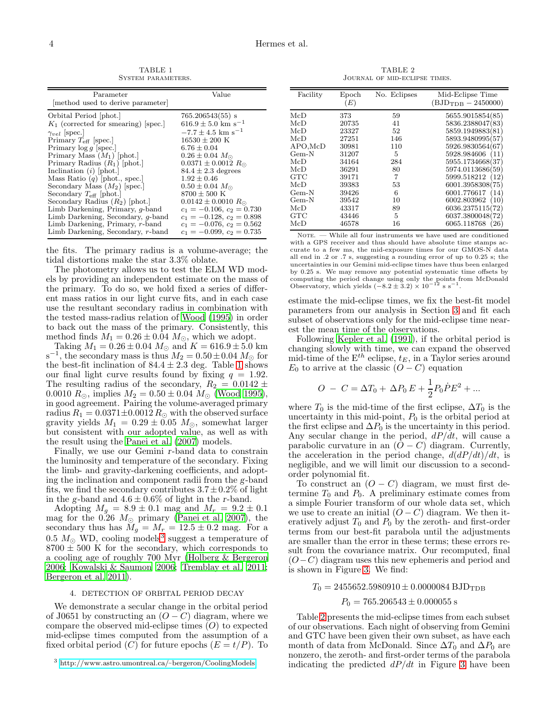<span id="page-3-0"></span>

| Parameter<br>method used to derive parameter | Value                              |
|----------------------------------------------|------------------------------------|
| Orbital Period  phot.                        | $765.206543(55)$ s                 |
| $K_1$ (corrected for smearing) [spec.]       | $616.9 \pm 5.0$ km s <sup>-1</sup> |
| $\gamma_{vel}$ [spec.]                       | $-7.7 \pm 4.5$ km s <sup>-1</sup>  |
| Primary $T_{\text{eff}}$ [spec.]             | $16530 \pm 200$ K                  |
| Primary $\log q$ spec.                       | $6.76 \pm 0.04$                    |
| Primary Mass $(M_1)$ [phot.]                 | $0.26 \pm 0.04$ $M_{\odot}$        |
| Primary Radius $(R_1)$ [phot.]               | $0.0371 \pm 0.0012 R_{\odot}$      |
| Inclination $(i)$ [phot.]                    | $84.4 \pm 2.3$ degrees             |
| Mass Ratio $(q)$ [phot., spec.]              | $1.92 \pm 0.46$                    |
| Secondary Mass $(M_2)$ [spec.]               | $0.50 \pm 0.04$ $M_{\odot}$        |
| Secondary $T_{\text{eff}}$ [phot.]           | $8700 \pm 500$ K                   |
| Secondary Radius $(R_2)$ [phot.]             | $0.0142 \pm 0.0010 R_{\odot}$      |
| Limb Darkening, Primary, <i>q</i> -band      | $c_1 = -0.106$ , $c_2 = 0.730$     |
| Limb Darkening, Secondary, <i>q</i> -band    | $c_1 = -0.128, c_2 = 0.898$        |
| Limb Darkening, Primary, r-band              | $c_1 = -0.076, c_2 = 0.562$        |
| Limb Darkening, Secondary, $r$ -band         | $c_1 = -0.099$ , $c_2 = 0.735$     |

the fits. The primary radius is a volume-average; the tidal distortions make the star 3.3% oblate.

The photometry allows us to test the ELM WD models by providing an independent estimate on the mass of the primary. To do so, we hold fixed a series of different mass ratios in our light curve fits, and in each case use the resultant secondary radius in combination with the tested mass-radius relation of [Wood \(1995](#page-5-31)) in order to back out the mass of the primary. Consistently, this method finds  $M_1 = 0.26 \pm 0.04$   $M_{\odot}$ , which we adopt.

Taking  $M_1 = 0.26 \pm 0.04$   $M_{\odot}$  and  $K = 616.9 \pm 5.0$  km  $s^{-1}$ , the secondary mass is thus  $M_2 = 0.50 \pm 0.04 M_{\odot}$  for the best-fit inclination of  $84.4 \pm 2.3$  deg. Table [1](#page-3-0) shows our final light curve results found by fixing  $q = 1.92$ . The resulting radius of the secondary,  $R_2 = 0.0142 \pm 1.00142$ 0.0010  $R_{\odot}$ , implies  $M_2 = 0.50 \pm 0.04$   $M_{\odot}$  [\(Wood 1995\)](#page-5-31), in good agreement. Pairing the volume-averaged primary radius  $R_1 = 0.0371 \pm 0.0012 R_{\odot}$  with the observed surface gravity yields  $M_1 = 0.29 \pm 0.05$   $M_{\odot}$ , somewhat larger but consistent with our adopted value, as well as with the result using the [Panei et al. \(2007\)](#page-5-27) models.

Finally, we use our Gemini r-band data to constrain the luminosity and temperature of the secondary. Fixing the limb- and gravity-darkening coefficients, and adopting the inclination and component radii from the g-band fits, we find the secondary contributes  $3.7 \pm 0.2\%$  of light in the g-band and  $4.6 \pm 0.6\%$  of light in the r-band.

Adopting  $M_g = 8.9 \pm 0.1$  mag and  $M_r = 9.2 \pm 0.1$ mag for the 0.26  $M_{\odot}$  primary [\(Panei et al. 2007\)](#page-5-27), the secondary thus has  $M_g = M_r = 12.5 \pm 0.2$  mag. For a 0.5  $M_{\odot}$  WD, cooling models<sup>3</sup> suggest a temperature of  $8700 \pm 500$  K for the secondary, which corresponds to a cooling age of roughly 700 Myr [\(Holberg & Bergeron](#page-5-32) [2006;](#page-5-32) [Kowalski & Saumon 2006;](#page-5-33) [Tremblay et al. 2011;](#page-5-34) [Bergeron et al. 2011\)](#page-5-35).

## 4. DETECTION OF ORBITAL PERIOD DECAY

We demonstrate a secular change in the orbital period of J0651 by constructing an  $(O - C)$  diagram, where we compare the observed mid-eclipse times  $(O)$  to expected mid-eclipse times computed from the assumption of a fixed orbital period  $(C)$  for future epochs  $(E = t/P)$ . To

TABLE 2 Journal of mid-eclipse times.

<span id="page-3-1"></span>

| Facility   | Epoch<br>(E) | No. Eclipses | Mid-Eclipse Time<br>$(BJD_{TDR} - 2450000)$ |
|------------|--------------|--------------|---------------------------------------------|
| McD        | 373          | 59           | 5655.9015854(85)                            |
| McD        | 20735        | 41           | 5836.2388047(83)                            |
| McD        | 23327        | 52           | 5859.1949883(81)                            |
| McD        | 27251        | 146          | 5893.9480995(57)                            |
| $APO,$ McD | 30981        | 110          | 5926.9830564(67)                            |
| $Gem-N$    | 31207        | 5            | 5928.984606<br>(11)                         |
| McD        | 34164        | 284          | 5955.1734668(37)                            |
| McD        | 36291        | 80           | 5974.0113686(59)                            |
| GTC        | 39171        | 7            | 5999.518212<br>(12                          |
| McD        | 39383        | 53           | 6001.3958308(75)                            |
| $Gem-N$    | 39426        | 6            | 6001.776617<br>(14)                         |
| $Gem-N$    | 39542        | 10           | 6002.803962<br>(10)                         |
| McD        | 43317        | 89           | 6036.2375115(72)                            |
| <b>GTC</b> | 43446        | 5            | 6037.3800048(72)                            |
| McD        | 46578        | 16           | 6065.118768<br>26                           |

 $\text{NOTE.}$  — While all four instruments we have used are conditioned with a GPS receiver and thus should have absolute time stamps accurate to a few ms, the mid-exposure times for our GMOS-N data all end in .2 or .7 s, suggesting a rounding error of up to 0.25 s; the uncertainties in our Gemini mid-eclipse times have thus been enlarged by 0.25 s. We may remove any potential systematic time offsets by computing the period change using only the points from McDonald Observatory, which yields  $(-8.2 \pm 3.2) \times 10^{-12}$  s s<sup>-1</sup>.

estimate the mid-eclipse times, we fix the best-fit model parameters from our analysis in Section [3](#page-1-0) and fit each subset of observations only for the mid-eclipse time nearest the mean time of the observations.

Following [Kepler et al. \(1991\)](#page-5-36), if the orbital period is changing slowly with time, we can expand the observed mid-time of the  $E^{th}$  eclipse,  $t_E$ , in a Taylor series around  $E_0$  to arrive at the classic  $(O - C)$  equation

$$
O - C = \Delta T_0 + \Delta P_0 E + \frac{1}{2} P_0 \dot{P} E^2 + \dots
$$

where  $T_0$  is the mid-time of the first eclipse,  $\Delta T_0$  is the uncertainty in this mid-point,  $P_0$  is the orbital period at the first eclipse and  $\Delta P_0$  is the uncertainty in this period. Any secular change in the period,  $dP/dt$ , will cause a parabolic curvature in an  $(O - C)$  diagram. Currently, the acceleration in the period change,  $d(dP/dt)/dt$ , is negligible, and we will limit our discussion to a secondorder polynomial fit.

To construct an  $(O - C)$  diagram, we must first determine  $T_0$  and  $P_0$ . A preliminary estimate comes from a simple Fourier transform of our whole data set, which we use to create an initial  $(O - C)$  diagram. We then iteratively adjust  $T_0$  and  $P_0$  by the zeroth- and first-order terms from our best-fit parabola until the adjustments are smaller than the error in these terms; these errors result from the covariance matrix. Our recomputed, final  $(O-C)$  diagram uses this new ephemeris and period and is shown in Figure [3.](#page-4-0) We find:

 $T_0 = 2455652.5980910 \pm 0.0000084$  BJD<sub>TDB</sub>

$$
P_0 = 765.206543 \pm 0.000055 \text{ s}
$$

Table [2](#page-3-1) presents the mid-eclipse times from each subset of our observations. Each night of observing from Gemini and GTC have been given their own subset, as have each month of data from McDonald. Since  $\Delta T_0$  and  $\Delta P_0$  are nonzero, the zeroth- and first-order terms of the parabola indicating the predicted  $dP/dt$  in Figure [3](#page-4-0) have been

 $3$  [http://www.astro.umontreal.ca/](http://www.astro.umontreal.ca/~bergeron/CoolingModels)~bergeron/CoolingModels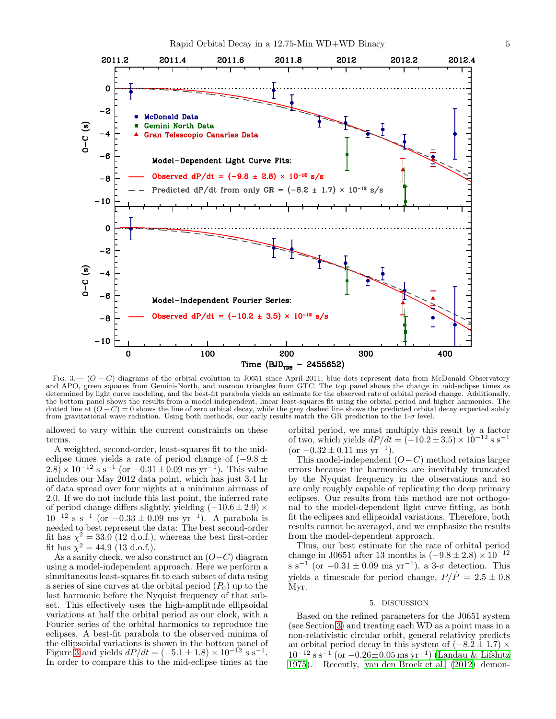

<span id="page-4-0"></span>FIG. 3.—  $(O - C)$  diagrams of the orbital evolution in J0651 since April 2011; blue dots represent data from McDonald Observatory and APO, green squares from Gemini-North, and maroon triangles from GTC. The top panel shows the change in mid-eclipse times as determined by light curve modeling, and the best-fit parabola yields an estimate for the observed rate of orbital period change. Additionally, the bottom panel shows the results from a model-independent, linear least-squares fit using the orbital period and higher harmonics. The dotted line at  $(O - C) = 0$  shows the line of zero orbital decay, while the grey dashed line shows the predicted orbital decay expected solely from gravitational wave radiation. Using both methods, our early results match the GR prediction to the  $1-\sigma$  level.

allowed to vary within the current constraints on these terms.

A weighted, second-order, least-squares fit to the mideclipse times yields a rate of period change of  $(-9.8 \pm$  $2.8 \times 10^{-12}$  s s<sup>-1</sup> (or  $-0.31 \pm 0.09$  ms yr<sup>-1</sup>). This value includes our May 2012 data point, which has just 3.4 hr of data spread over four nights at a minimum airmass of 2.0. If we do not include this last point, the inferred rate of period change differs slightly, yielding  $(-10.6 \pm 2.9) \times$  $10^{-12}$  s s<sup>-1</sup> (or  $-0.33 \pm 0.09$  ms yr<sup>-1</sup>). A parabola is needed to best represent the data: The best second-order fit has  $\chi^2 = 33.0$  (12 d.o.f.), whereas the best first-order fit has  $\chi^2 = 44.9$  (13 d.o.f.).

As a sanity check, we also construct an  $(O-C)$  diagram using a model-independent approach. Here we perform a simultaneous least-squares fit to each subset of data using a series of sine curves at the orbital period  $(P_0)$  up to the last harmonic before the Nyquist frequency of that subset. This effectively uses the high-amplitude ellipsoidal variations at half the orbital period as our clock, with a Fourier series of the orbital harmonics to reproduce the eclipses. A best-fit parabola to the observed minima of the ellipsoidal variations is shown in the bottom panel of Figure [3](#page-4-0) and yields  $dP/dt = (-5.1 \pm 1.8) \times 10^{-12}$  s s<sup>-1</sup>. In order to compare this to the mid-eclipse times at the

orbital period, we must multiply this result by a factor of two, which yields  $dP/dt = (-10.2 \pm 3.5) \times 10^{-12}$  s s<sup>-1</sup>  $(\text{or } -0.32 \pm 0.11 \text{ ms yr}^{-1}).$ 

This model-independent  $(O-C)$  method retains larger errors because the harmonics are inevitably truncated by the Nyquist frequency in the observations and so are only roughly capable of replicating the deep primary eclipses. Our results from this method are not orthogonal to the model-dependent light curve fitting, as both fit the eclipses and ellipsoidal variations. Therefore, both results cannot be averaged, and we emphasize the results from the model-dependent approach.

Thus, our best estimate for the rate of orbital period change in J0651 after 13 months is  $(-9.8 \pm 2.8) \times 10^{-12}$ s s<sup>-1</sup> (or  $-0.31 \pm 0.09$  ms yr<sup>-1</sup>), a 3- $\sigma$  detection. This yields a timescale for period change,  $P/\dot{P} = 2.5 \pm 0.8$ Myr.

#### 5. DISCUSSION

Based on the refined parameters for the J0651 system (see Section [3\)](#page-1-0) and treating each WD as a point mass in a non-relativistic circular orbit, general relativity predicts an orbital period decay in this system of  $(-8.2 \pm 1.7) \times$  $10^{-12}$  s s<sup>-1</sup> (or  $-0.26 \pm 0.05$  ms yr<sup>-1</sup>) [\(Landau & Lifshitz](#page-5-37) [1975\)](#page-5-37). Recently, [van den Broek et al. \(2012](#page-5-38)) demon